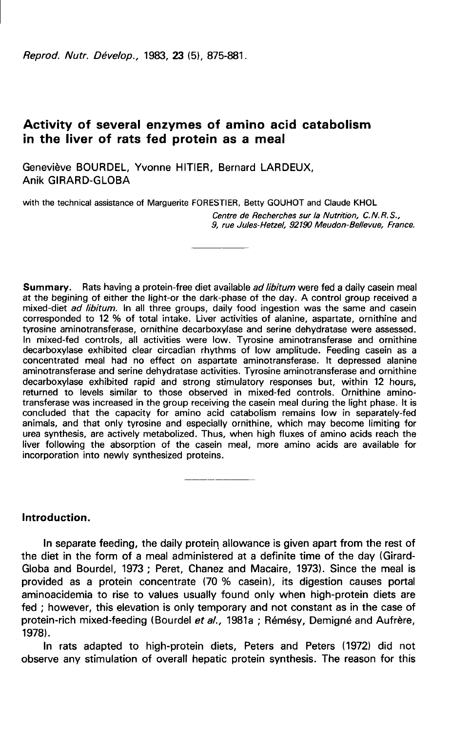Reprod. Nutr. Dévelop., 1983. 23 (5). 875-881.

# Activity of several enzymes of amino acid catabolism in the liver of rats fed protein as a meal

Geneviève BOURDEL, Yvonne HITIER, Bernard LARDEUX, Anik GIRARD-GLOBA

with the technical assistance of Marguerite FORESTIER, Betty GOUHOT and Claude KHOL

Centre de Recherches sur la Nutrition, C. N. R. S., 9, rue Jules-Hetzel, 92190 Meudon-Bellevue, France.

Summary. Rats having a protein-free diet available ad libitum were fed a daily casein meal at the begining of either the light-or the dark-phase of the day. A control group received a mixed-diet ad libitum. In all three groups, daily food ingestion was the same and casein corresponded to 12 % of total intake. Liver activities of alanine, aspartate, ornithine and tyrosine aminotransferase, ornithine decarboxylase and serine dehydratase were assessed. In mixed-fed controls, all activities were low. Tyrosine aminotransferase and ornithine decarboxylase exhibited clear circadian rhythms of low amplitude. Feeding casein as a concentrated meal had no effect on aspartate aminotransferase. It depressed alanine aminotransferase and serine dehydratase activities. Tyrosine aminotransferase and ornithine decarboxylase exhibited rapid and strong stimulatory responses but, within 12 hours, returned to levels similar to those observed in mixed-fed controls. Ornithine aminotransferase was increased in the group receiving the casein meal during the light phase. It is concluded that the capacity for amino acid catabolism remains low in separately-fed animals, and that only tyrosine and especially ornithine, which may become limiting for urea synthesis, are actively metabolized. Thus, when high fluxes of amino acids reach the liver following the absorption of the casein meal, more amino acids are available for incorporation into newly synthesized proteins.

# Introduction.

In separate feeding, the daily protein allowance is given apart from the rest of the diet in the form of a meal administered at a definite time of the day (Girard-Globa and Bourdel, 1973 ; Peret, Chanez and Macaire, 1973). Since the meal is provided as a protein concentrate (70 % casein), its digestion causes portal aminoacidemia to rise to values usually found only when high-protein diets are fed ; however, this elevation is only temporary and not constant as in the case of protein-rich mixed-feeding (Bourdel et al., 1981a ; Rémésy, Demigné and Aufrère, 1978).

In rats adapted to high-protein diets, Peters and Peters (1972) did not observe any stimulation of overall hepatic protein synthesis. The reason for this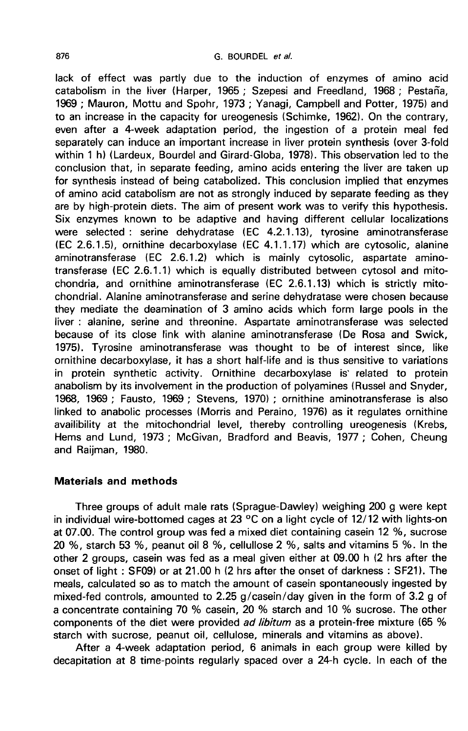lack of effect was partly due to the induction of enzymes of amino acid catabolism in the liver (Harper, 1965 ; Szepesi and Freedland, 1968 ; Pestaña, 1969 ; Mauron, Mottu and Spohr, 1973 ; Yanagi, Campbell and Potter, 1975) and to an increase in the capacity for ureogenesis (Schimke, 1962). On the contrary, even after a 4-week adaptation period, the ingestion of a protein meal fed separately can induce an important increase in liver protein synthesis (over 3-fold within 1 h) (Lardeux, Bourdel and Girard-Globa, 1978). This observation led to the conclusion that, in separate feeding, amino acids entering the liver are taken up for synthesis instead of being catabolized. This conclusion implied that enzymes of amino acid catabolism are not as strongly induced by separate feeding as they are by high-protein diets. The aim of present work was to verify this hypothesis. Six enzymes known to be adaptive and having different cellular localizations were selected : serine dehydratase (EC 4.2.1.13), tyrosine aminotransferase (EC 2.6.1.5), ornithine decarboxylase (EC 4.1.1.17) which are cytosolic, alanine aminotransferase (EC 2.6.1.2) which is mainly cytosolic, aspartate aminotransferase (EC 2.6.1.1) which is equally distributed between cytosol and mitochondria, and ornithine aminotransferase (EC 2.6.1.13) which is strictly mitochondrial. Alanine aminotransferase and serine dehydratase were chosen because they mediate the deamination of 3 amino acids which form large pools in the liver : alanine, serine and threonine. Aspartate aminotransferase was selected because of its close link with alanine aminotransferase (De Rosa and Swick, 1975). Tyrosine aminotransferase was thought to be of interest since, like ornithine decarboxylase, it has a short half-life and is thus sensitive to variations in protein synthetic activity. Ornithine decarboxylase is' related to protein anabolism by its involvement in the production of polyamines (Russel and Snyder, 1968, 1969 ; Fausto, 1969 ; Stevens, 1970) ; ornithine aminotransferase is also linked to anabolic processes (Morris and Peraino, 1976) as it regulates ornithine availibility at the mitochondrial level, thereby controlling ureogenesis (Krebs, Hems and Lund, 1973 ; McGivan, Bradford and Beavis, 1977 ; Cohen, Cheung and Raijman, 1980.

## Materials and methods

Three groups of adult male rats (Sprague-Dawley) weighing 200 g were kept in individual wire-bottomed cages at 23 °C on a light cycle of 12/12 with lights-on at 07.00. The control group was fed a mixed diet containing casein 12 %, sucrose 20 %, starch 53 %, peanut oil 8 %, cellullose 2 %, salts and vitamins 5 %. In the other 2 groups, casein was fed as a meal given either at 09.00 h (2 hrs after the onset of light : SF09) or at 21.00 h (2 hrs after the onset of darkness : SF21). The meals, calculated so as to match the amount of casein spontaneously ingested by mixed-fed controls, amounted to 2.25 g/casein/day given in the form of 3.2 g of a concentrate containing 70 % casein, 20 % starch and 10 % sucrose. The other components of the diet were provided ad libitum as a protein-free mixture (65 % starch with sucrose, peanut oil, cellulose, minerals and vitamins as above).

After a 4-week adaptation period, 6 animals in each group were killed by decapitation at 8 time-points regularly spaced over a 24-h cycle. In each of the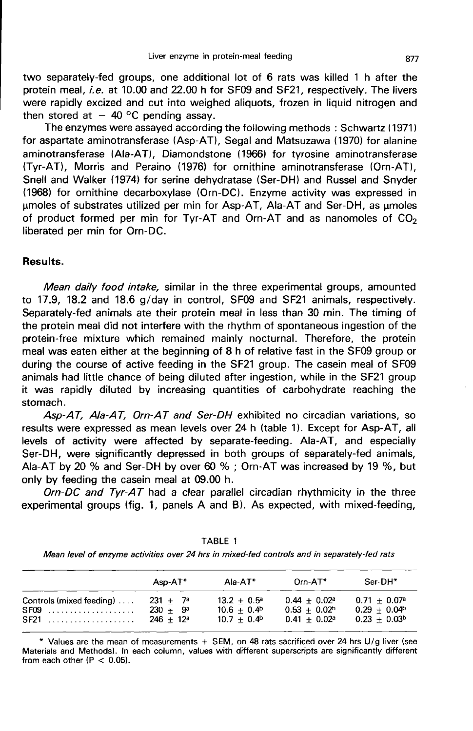two separately-fed groups, one additional lot of 6 rats was killed 1 h after the protein meal, *i.e.* at 10.00 and 22.00 h for SF09 and SF21, respectively. The livers were rapidly excized and cut into weighed aliquots, frozen in liquid nitrogen and then stored at  $-$  40 °C pending assay.

The enzymes were assayed according the following methods : Schwartz (1971) for aspartate aminotransferase (Asp-AT), Segal and Matsuzawa (1970) for alanine aminotransferase (Ala-AT), Diamondstone (1966) for tyrosine aminotransferase (Tyr-AT), Morris and Peraino (1976) for ornithine aminotransferase (Orn-AT), Snell and Walker (1974) for serine dehydratase (Ser-DH) and Russel and Snyder (1968) for ornithine decarboxylase (Orn-DC). Enzyme activity was expressed in umoles of substrates utilized per min for Asp-AT, Ala-AT and Ser-DH, as umoles of product formed per min for Tyr-AT and Orn-AT and as nanomoles of  $CO<sub>2</sub>$ liberated per min for Orn-DC.

### Results.

Mean daily food intake, similar in the three experimental groups, amounted to 17.9, 18.2 and 18.6 g/day in control, SF09 and SF21 animals, respectively. Separately-fed animals ate their protein meal in less than 30 min. The timing of the protein meal did not interfere with the rhythm of spontaneous ingestion of the protein-free mixture which remained mainly nocturnal. Therefore, the protein meal was eaten either at the beginning of 8 h of relative fast in the SF09 group or during the course of active feeding in the SF21 group. The casein meal of SF09 animals had little chance of being diluted after ingestion, while in the SF21 group it was rapidly diluted by increasing quantities of carbohydrate reaching the stomach.

Asp-AT, Ala-AT, Orn-AT and Ser-DH exhibited no circadian variations, so results were expressed as mean levels over 24 h (table 1). Except for Asp-AT, all levels of activity were affected by separate-feeding. Ala-AT, and especially Ser-DH, were significantly depressed in both groups of separately-fed animals, Ala-AT by 20 % and Ser-DH by over 60 % ; Orn-AT was increased by 19 %, but only by feeding the casein meal at 09.00 h.

Orn-DC and Tyr-AT had a clear parallel circadian rhythmicity in the three experimental groups (fig. 1, panels A and B). As expected, with mixed-feeding,

TABLE 1 Mean level of enzyme activities over 24 hrs in mixed-fed controls and in separately-fed rats

|                          | $Asp-AT^*$   | Ala-AT*              | $Orn-AT*$             | Ser-DH*                    |
|--------------------------|--------------|----------------------|-----------------------|----------------------------|
| Controls (mixed feeding) | $231 + 7^a$  | $13.2 + 0.5^a$       | $0.44 + 0.02^a$       | $0.71 + 0.07$ <sup>a</sup> |
| $SFO9$                   | $230 + 9^a$  | $10.6 + 0.4^{\circ}$ | $0.53 + 0.02^{\circ}$ | $0.29 + 0.04b$             |
| <b>SF21</b>              | $246 + 12^a$ | $10.7 + 0.4^{\circ}$ | $0.41 + 0.02^a$       | $0.23 + 0.03^b$            |

\* Values are the mean of measurements  $\pm$  SEM, on 48 rats sacrificed over 24 hrs U/g liver (see Materials and Methods). In each column, values with different superscripts are significantly different from each other  $(P < 0.05)$ .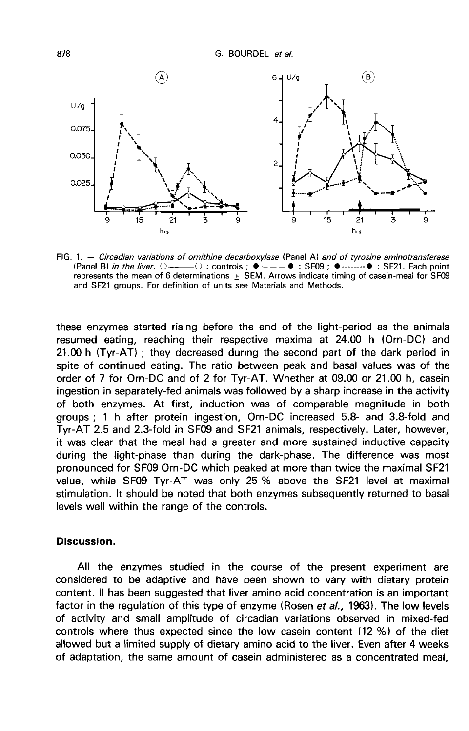

FIG. 1. - Circadian variations of ornithine decarboxylase (Panel A) and of tyrosine aminotransferase (Panel B) in the liver.  $\bigcirc$   $\longrightarrow$   $\bigcirc$  : controls :  $\bullet$   $\rightarrow$   $\rightarrow$   $\bullet$  : SF09 :  $\bullet$   $\longrightarrow$   $\bullet$  : SF21. Each point represents the mean of 6 determinations  $\pm$  SEM. Arrows indicate timing of casein-meal for SF09 and SF21 groups. For definition of units see Materials and Methods.

these enzymes started rising before the end of the light-period as the animals resumed eating, reaching their respective maxima at 24.00 h (Orn-DC) and 21.00 h ITyr-AT) ; they decreased during the second part of the dark period in spite of continued eating. The ratio between peak and basal values was of the order of 7 for Orn-DC and of 2 for Tyr-AT. Whether at 09.00 or 21.00 h, casein ingestion in separately-fed animals was followed by a sharp increase in the activity of both enzymes. At first, induction was of comparable magnitude in both groups ; 1 h after protein ingestion, Orn-DC increased 5.8- and 3.8-fold and Tyr-AT 2.5 and 2.3-fold in SF09 and SF21 animals, respectively. Later, however, it was clear that the meal had a greater and more sustained inductive capacity during the light-phase than during the dark-phase. The difference was most pronounced for SF09 Orn-DC which peaked at more than twice the maximal SF21 value, while SF09 Tyr-AT was only 25 % above the SF21 level at maximal stimulation. It should be noted that both enzymes subsequently returned to basal levels well within the range of the controls.

### Discussion.

All the enzymes studied in the course of the present experiment are considered to be adaptive and have been shown to vary with dietary protein content. 11 has been suggested that liver amino acid concentration is an important factor in the regulation of this type of enzyme (Rosen et al., 1963). The low levels of activity and small amplitude of circadian variations observed in mixed-fed controls where thus expected since the low casein content (12 %) of the diet allowed but a limited supply of dietary amino acid to the liver. Even after 4 weeks of adaptation, the same amount of casein administered as a concentrated meal,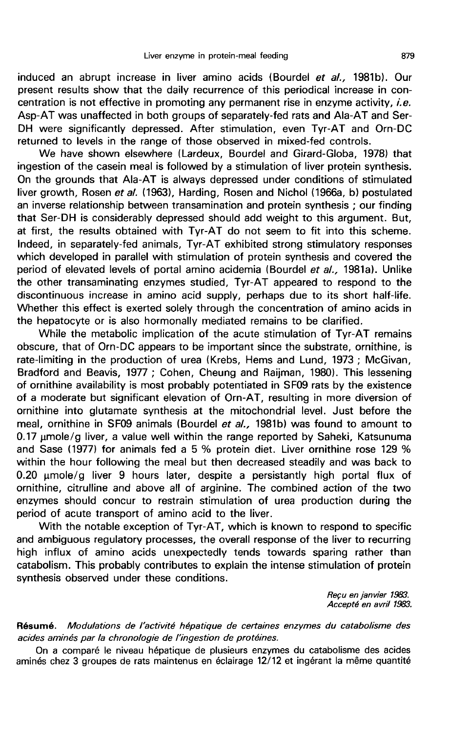induced an abrupt increase in liver amino acids (Bourdel et al., 1981b). Our present results show that the daily recurrence of this periodical increase in concentration is not effective in promoting any permanent rise in enzyme activity, *i.e.* Asp-AT was unaffected in both groups of separately-fed rats and Ala-AT and Ser-DH were significantly depressed. After stimulation, even Tyr-AT and Orn-DC returned to levels in the range of those observed in mixed-fed controls.

We have shown elsewhere (Lardeux, Bourdel and Girard-Globa, 1978) that ingestion of the casein meal is followed by a stimulation of liver protein synthesis. On the grounds that Ala-AT is always depressed under conditions of stimulated liver growth, Rosen et al. (1963), Harding, Rosen and Nichol (1966a, b) postulated an inverse relationship between transamination and protein synthesis ; our finding that Ser-DH is considerably depressed should add weight to this argument. But, at first, the results obtained with Tyr-AT do not seem to fit into this scheme. Indeed, in separately-fed animals, Tyr-AT exhibited strong stimulatory responses which developed in parallel with stimulation of protein synthesis and covered the period of elevated levels of portal amino acidemia (Bourdel et al., 1981a). Unlike the other transaminating enzymes studied, Tyr-AT appeared to respond to the discontinuous increase in amino acid supply, perhaps due to its short half-life. Whether this effect is exerted solely through the concentration of amino acids in the hepatocyte or is also hormonally mediated remains to be clarified.

While the metabolic implication of the acute stimulation of Tyr-AT remains obscure, that of Orn-DC appears to be important since the substrate, ornithine, is rate-limiting in the production of urea (Krebs, Hems and Lund, 1973 ; McGivan, Bradford and Beavis, 1977 ; Cohen, Cheung and Raijman, 1980). This lessening of ornithine availability is most probably potentiated in SF09 rats by the existence of a moderate but significant elevation of Orn-AT, resulting in more diversion of ornithine into glutamate synthesis at the mitochondrial level. Just before the meal, ornithine in SF09 animals (Bourdel et al., 1981b) was found to amount to  $0.17$  µmole/g liver, a value well within the range reported by Saheki, Katsunuma and Sase (1977) for animals fed a 5 % protein diet. Liver ornithine rose 129 % within the hour following the meal but then decreased steadily and was back to  $0.20 \mu$ mole/g liver 9 hours later, despite a persistantly high portal flux of ornithine, citrulline and above all of arginine. The combined action of the two enzymes should concur to restrain stimulation of urea production during the period of acute transport of amino acid to the liver.

With the notable exception of Tyr-AT, which is known to respond to specific and ambiguous regulatory processes, the overall response of the liver to recurring high influx of amino acids unexpectedly tends towards sparing rather than catabolism. This probably contributes to explain the intense stimulation of protein synthesis observed under these conditions.

> Reçu en janvier 1983. Accepté en avril 1983.

Résumé. Modulations de l'activité hépatique de certaines enzymes du catabolisme des acides aminés par la chronologie de l'ingestion de protéines.

On a comparé le niveau hépatique de plusieurs enzymes du catabolisme des acides aminés chez 3 groupes de rats maintenus en éclairage 12/12 et ingérant la même quantité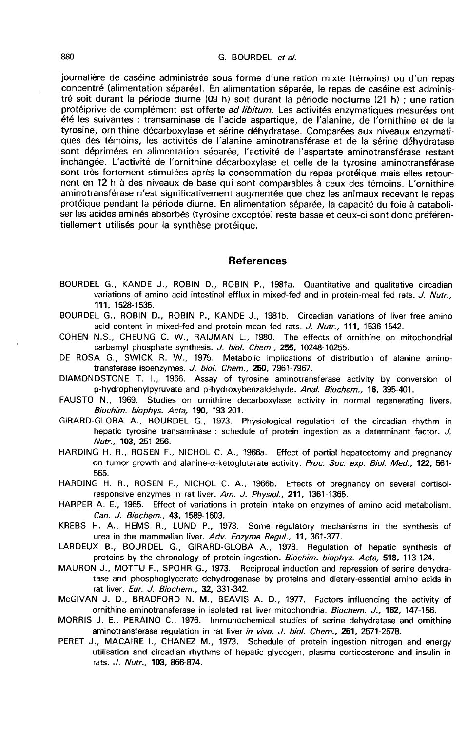#### G. BOURDEL et al.

journalière de caséine administrée sous forme d'une ration mixte (témoins) ou d'un repas concentré (alimentation séparée). En alimentation séparée, le repas de caséine est administré soit durant la période diurne (09 h) soit durant la période nocturne (21 h) ; une ration protéiprive de complément est offerte ad libitum. Les activités enzymatiques mesurées ont été les suivantes : transaminase de l'acide aspartique, de l'alanine, de l'ornithine et de la tyrosine, ornithine décarboxylase et sérine déhydratase. Comparées aux niveaux enzymatiques des témoins, les activités de l'alanine aminotransférase et de la sérine déhydratase sont déprimées en alimentation séparée, l'activité de l'aspartate aminotransférase restant inchangée. L'activité de l'ornithine décarboxylase et celle de la tyrosine aminotransférase sont très fortement stimulées après la consommation du repas protéique mais elles retournent en 12 h à des niveaux de base qui sont comparables à ceux des témoins. L'ornithine aminotransférase n'est significativement augmentée que chez les animaux recevant le repas protéique pendant la période diurne. En alimentation séparée, la capacité du foie à cataboliser les acides aminés absorbés (tyrosine exceptée) reste basse et ceux-ci sont donc préférentiellement utilisés pour la synthèse protéique.

#### References

- BOURDEL G., KANDE J., ROBIN D., ROBIN P., 1981a. Quantitative and qualitative circadian variations of amino acid intestinal efflux in mixed-fed and in protein-meal fed rats. J. Nutr., 111, 1528-1535.
- BOURDEL G., ROBIN D., ROBIN P., KANDE J., 1981b. Circadian variations of liver free amino acid content in mixed-fed and protein-mean fed rats. J. Nutr., 111, 1536-1542.
- COHEN N.S., CHEUNG C. W., RAIJMAN L., 1980. The effects of ornithine on mitochondrial carbamyl phosphate synthesis. J. biol. Chem., 255, 10248-10255.
- DE ROSA G., SWICK R. W., 1975. Metabolic implications of distribution of alanine aminotransferase isoenzymes. J. bio/. Chem., 250, 7961-7967.
- DIAMONDSTONE T. 1., 1966. Assay of tyrosine aminotransferase activity by conversion of p-hydrophenylpyruvate and p-hydroxybenzaldehyde. Anal. Biochem., 16, 395-401.
- FAUSTO N., 1969. Studies on ornithine decarboxylase activity in normal regenerating livers. Biochim. biophys. Acta, 190, 193-201.
- GIRARD-GLOBA A., BOURDEL G., 1973. Physiological regulation of the circadian rhythm in hepatic tyrosine transaminase : schedule of protein ingestion as a determinant factor. J. Nutr., 103, 251-256.
- HARDING H. R., ROSEN F., NICHOL C. A., 1966a. Effect of partial hepatectomy and pregnancy on tumor growth and alanine- $\alpha$ -ketoglutarate activity. Proc. Soc. exp. Biol. Med., 122, 561-565.
- HARDING H. R., ROSEN F., NICHOL C. A., 1966b. Effects of pregnancy on several cortisolresponsive enzymes in rat liver. Am. J. Physiol., 211, 1361-1365.
- HARPER A. E., 1965. Effect of variations in protein intake on enzymes of amino acid metabolism. Can. J. Biochem., 43, 1589-1603.
- KREBS H. A., HEMS R., LUND P., 1973. Some regulatory mechanisms in the synthesis of urea in the mammalian liver. Adv. Enzyme Regul., 11, 361-377.
- LARDEUX B., BOURDEL G., GIRARD-GLOBA A., 1978. Regulation of hepatic synthesis of proteins by the chronology of protein ingestion. Biochim. biophys. Acta, 518, 113-124.
- MAURON J., MOTTU F., SPOHR G., 1973. Reciprocal induction and repression of serine dehydra tase and phosphoglycerate dehydrogenase by proteins and dietary-essential amino acids in rat liver. Eur. J. Biochem., 32, 331-342.
- McGIVAN J. D., BRADFORD N. M., BEAVIS A. D., 1977. Factors influencing the activity of ornithine aminotransferase in isolated rat liver mitochondria. Biochem. J., 162, 147-156.
- MORRIS J. E., PERAINO C., 1976. Immunochemical studies of serine dehydratase and ornithine aminotransferase regulation in rat liver in vivo. J. biol. Chem., 251, 2571-2578.
- PERET J., MACAIRE I., CHANEZ M., 1973. Schedule of protein ingestion nitrogen and energy utilisation and circadian rhythms of hepatic glycogen, plasma corticosterone and insulin in rats. J. Nutr., 103, 866-874.